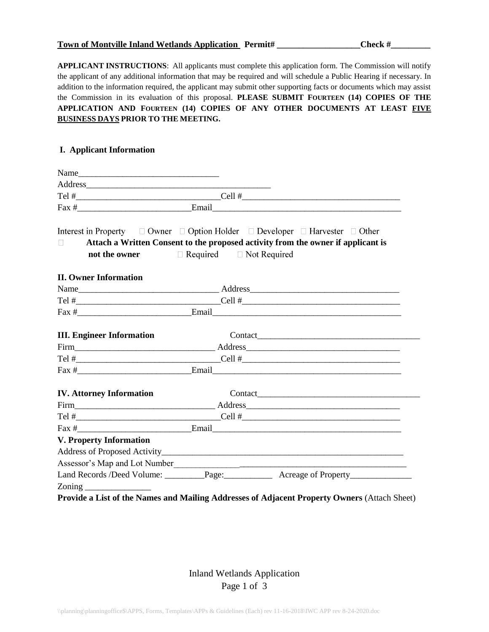|  | Town of Montville Inland Wetlands Application Permit# |  | Check # |
|--|-------------------------------------------------------|--|---------|
|--|-------------------------------------------------------|--|---------|

**APPLICANT INSTRUCTIONS**: All applicants must complete this application form. The Commission will notify the applicant of any additional information that may be required and will schedule a Public Hearing if necessary. In addition to the information required, the applicant may submit other supporting facts or documents which may assist the Commission in its evaluation of this proposal. **PLEASE SUBMIT FOURTEEN (14) COPIES OF THE APPLICATION AND FOURTEEN (14) COPIES OF ANY OTHER DOCUMENTS AT LEAST FIVE BUSINESS DAYS PRIOR TO THE MEETING.**

### **I. Applicant Information**

|                                                                                                                                                                                                                                                                                                                     | Interest in Property $\Box$ Owner $\Box$ Option Holder $\Box$ Developer $\Box$ Harvester $\Box$ Other<br>Attach a Written Consent to the proposed activity from the owner if applicant is<br><b>not the owner</b> □ Required □ Not Required |
|---------------------------------------------------------------------------------------------------------------------------------------------------------------------------------------------------------------------------------------------------------------------------------------------------------------------|---------------------------------------------------------------------------------------------------------------------------------------------------------------------------------------------------------------------------------------------|
| <b>II. Owner Information</b>                                                                                                                                                                                                                                                                                        |                                                                                                                                                                                                                                             |
|                                                                                                                                                                                                                                                                                                                     |                                                                                                                                                                                                                                             |
|                                                                                                                                                                                                                                                                                                                     |                                                                                                                                                                                                                                             |
|                                                                                                                                                                                                                                                                                                                     | $\text{Fax } \#$ Email Email Email Email Algebra 2014                                                                                                                                                                                       |
| <b>III. Engineer Information</b>                                                                                                                                                                                                                                                                                    |                                                                                                                                                                                                                                             |
|                                                                                                                                                                                                                                                                                                                     |                                                                                                                                                                                                                                             |
|                                                                                                                                                                                                                                                                                                                     |                                                                                                                                                                                                                                             |
|                                                                                                                                                                                                                                                                                                                     |                                                                                                                                                                                                                                             |
| <b>IV.</b> Attorney Information                                                                                                                                                                                                                                                                                     |                                                                                                                                                                                                                                             |
|                                                                                                                                                                                                                                                                                                                     |                                                                                                                                                                                                                                             |
|                                                                                                                                                                                                                                                                                                                     |                                                                                                                                                                                                                                             |
|                                                                                                                                                                                                                                                                                                                     | $\text{Fax } \#$ Email Email Email Email Email Alberta and the set of the set of the set of the set of the set of the set of the set of the set of the set of the set of the set of the set of the set of the set of the set of the         |
| <b>V. Property Information</b>                                                                                                                                                                                                                                                                                      |                                                                                                                                                                                                                                             |
|                                                                                                                                                                                                                                                                                                                     |                                                                                                                                                                                                                                             |
|                                                                                                                                                                                                                                                                                                                     | Assessor's Map and Lot Number                                                                                                                                                                                                               |
|                                                                                                                                                                                                                                                                                                                     | Land Records /Deed Volume: Page: Page: Acreage of Property                                                                                                                                                                                  |
| $\frac{1}{2}$ $\frac{1}{2}$ $\frac{1}{2}$ $\frac{1}{2}$ $\frac{1}{2}$ $\frac{1}{2}$ $\frac{1}{2}$ $\frac{1}{2}$ $\frac{1}{2}$ $\frac{1}{2}$ $\frac{1}{2}$ $\frac{1}{2}$ $\frac{1}{2}$ $\frac{1}{2}$ $\frac{1}{2}$ $\frac{1}{2}$ $\frac{1}{2}$ $\frac{1}{2}$ $\frac{1}{2}$ $\frac{1}{2}$ $\frac{1}{2}$ $\frac{1}{2}$ |                                                                                                                                                                                                                                             |
|                                                                                                                                                                                                                                                                                                                     | Provide a List of the Names and Mailing Addresses of Adjacent Property Owners (Attach Sheet)                                                                                                                                                |

Inland Wetlands Application Page 1 of 3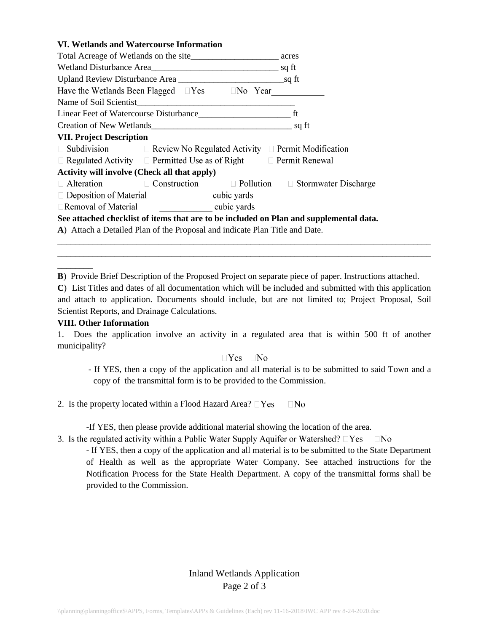## **VI. Wetlands and Watercourse Information**

| Wetland Disturbance Area                                                               |                                                                                   |  |                                                                  |
|----------------------------------------------------------------------------------------|-----------------------------------------------------------------------------------|--|------------------------------------------------------------------|
|                                                                                        | Upland Review Disturbance Area                                                    |  |                                                                  |
|                                                                                        | Have the Wetlands Been Flagged $\Box$ Yes $\Box$ No Year                          |  |                                                                  |
|                                                                                        |                                                                                   |  |                                                                  |
|                                                                                        |                                                                                   |  |                                                                  |
| Creation of New Wetlands<br>Sq ft                                                      |                                                                                   |  |                                                                  |
| <b>VII. Project Description</b>                                                        |                                                                                   |  |                                                                  |
|                                                                                        | $\Box$ Subdivision $\Box$ Review No Regulated Activity $\Box$ Permit Modification |  |                                                                  |
|                                                                                        | $\Box$ Regulated Activity $\Box$ Permitted Use as of Right $\Box$ Permit Renewal  |  |                                                                  |
| <b>Activity will involve (Check all that apply)</b>                                    |                                                                                   |  |                                                                  |
| $\Box$ Alteration                                                                      |                                                                                   |  | $\Box$ Construction $\Box$ Pollution $\Box$ Stormwater Discharge |
| □ Deposition of Material _______________ cubic yards                                   |                                                                                   |  |                                                                  |
| <b>Example 2</b> cubic yards<br>$\Box$ Removal of Material                             |                                                                                   |  |                                                                  |
| See attached checklist of items that are to be included on Plan and supplemental data. |                                                                                   |  |                                                                  |
| A) Attach a Detailed Plan of the Proposal and indicate Plan Title and Date.            |                                                                                   |  |                                                                  |

**B**) Provide Brief Description of the Proposed Project on separate piece of paper. Instructions attached.

**C**) List Titles and dates of all documentation which will be included and submitted with this application and attach to application. Documents should include, but are not limited to; Project Proposal, Soil Scientist Reports, and Drainage Calculations.

\_\_\_\_\_\_\_\_\_\_\_\_\_\_\_\_\_\_\_\_\_\_\_\_\_\_\_\_\_\_\_\_\_\_\_\_\_\_\_\_\_\_\_\_\_\_\_\_\_\_\_\_\_\_\_\_\_\_\_\_\_\_\_\_\_\_\_\_\_\_\_\_\_\_\_\_\_\_\_\_\_\_\_\_\_ \_\_\_\_\_\_\_\_\_\_\_\_\_\_\_\_\_\_\_\_\_\_\_\_\_\_\_\_\_\_\_\_\_\_\_\_\_\_\_\_\_\_\_\_\_\_\_\_\_\_\_\_\_\_\_\_\_\_\_\_\_\_\_\_\_\_\_\_\_\_\_\_\_\_\_\_\_\_\_\_\_\_\_\_\_

#### **VIII. Other Information**

\_\_\_\_\_\_\_\_

1. Does the application involve an activity in a regulated area that is within 500 ft of another municipality?

#### $\neg$ Yes  $\neg$ No

- If YES, then a copy of the application and all material is to be submitted to said Town and a copy of the transmittal form is to be provided to the Commission.
- 2. Is the property located within a Flood Hazard Area?  $\square$  Yes  $\Box$ No

-If YES, then please provide additional material showing the location of the area.

3. Is the regulated activity within a Public Water Supply Aquifer or Watershed?  $\Box$  Yes  $\Box$ No

- If YES, then a copy of the application and all material is to be submitted to the State Department of Health as well as the appropriate Water Company. See attached instructions for the Notification Process for the State Health Department. A copy of the transmittal forms shall be provided to the Commission.

# Inland Wetlands Application Page 2 of 3